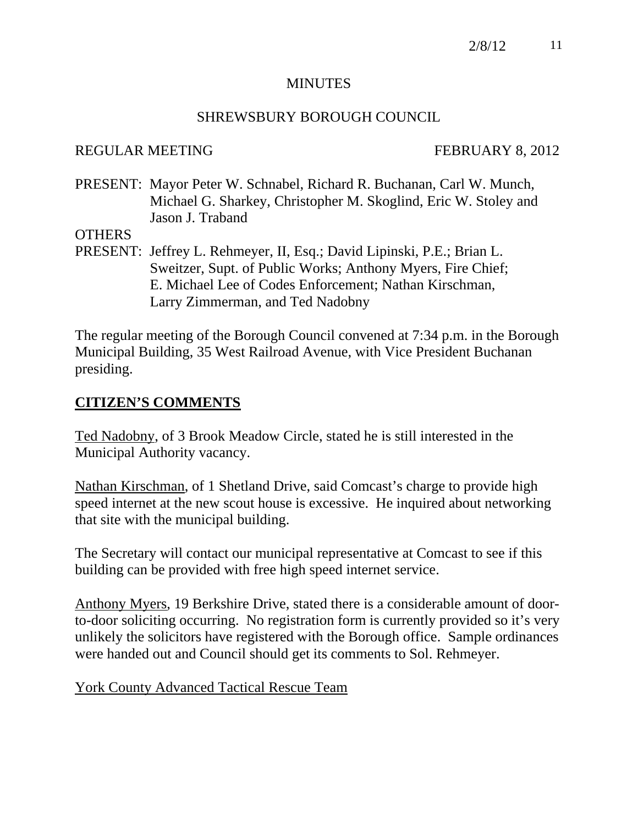#### MINUTES

#### SHREWSBURY BOROUGH COUNCIL

#### REGULAR MEETING FEBRUARY 8, 2012

PRESENT: Mayor Peter W. Schnabel, Richard R. Buchanan, Carl W. Munch, Michael G. Sharkey, Christopher M. Skoglind, Eric W. Stoley and Jason J. Traband

#### **OTHERS**

PRESENT: Jeffrey L. Rehmeyer, II, Esq.; David Lipinski, P.E.; Brian L. Sweitzer, Supt. of Public Works; Anthony Myers, Fire Chief; E. Michael Lee of Codes Enforcement; Nathan Kirschman, Larry Zimmerman, and Ted Nadobny

The regular meeting of the Borough Council convened at 7:34 p.m. in the Borough Municipal Building, 35 West Railroad Avenue, with Vice President Buchanan presiding.

## **CITIZEN'S COMMENTS**

Ted Nadobny, of 3 Brook Meadow Circle, stated he is still interested in the Municipal Authority vacancy.

Nathan Kirschman, of 1 Shetland Drive, said Comcast's charge to provide high speed internet at the new scout house is excessive. He inquired about networking that site with the municipal building.

The Secretary will contact our municipal representative at Comcast to see if this building can be provided with free high speed internet service.

Anthony Myers, 19 Berkshire Drive, stated there is a considerable amount of doorto-door soliciting occurring. No registration form is currently provided so it's very unlikely the solicitors have registered with the Borough office. Sample ordinances were handed out and Council should get its comments to Sol. Rehmeyer.

#### York County Advanced Tactical Rescue Team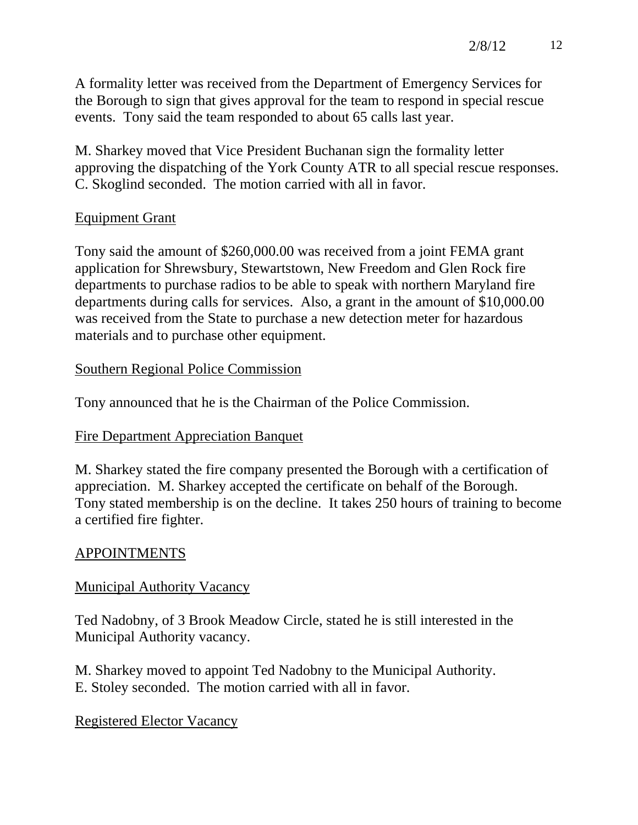A formality letter was received from the Department of Emergency Services for the Borough to sign that gives approval for the team to respond in special rescue events. Tony said the team responded to about 65 calls last year.

M. Sharkey moved that Vice President Buchanan sign the formality letter approving the dispatching of the York County ATR to all special rescue responses. C. Skoglind seconded. The motion carried with all in favor.

# Equipment Grant

Tony said the amount of \$260,000.00 was received from a joint FEMA grant application for Shrewsbury, Stewartstown, New Freedom and Glen Rock fire departments to purchase radios to be able to speak with northern Maryland fire departments during calls for services. Also, a grant in the amount of \$10,000.00 was received from the State to purchase a new detection meter for hazardous materials and to purchase other equipment.

# Southern Regional Police Commission

Tony announced that he is the Chairman of the Police Commission.

# Fire Department Appreciation Banquet

M. Sharkey stated the fire company presented the Borough with a certification of appreciation. M. Sharkey accepted the certificate on behalf of the Borough. Tony stated membership is on the decline. It takes 250 hours of training to become a certified fire fighter.

# APPOINTMENTS

# Municipal Authority Vacancy

Ted Nadobny, of 3 Brook Meadow Circle, stated he is still interested in the Municipal Authority vacancy.

M. Sharkey moved to appoint Ted Nadobny to the Municipal Authority. E. Stoley seconded. The motion carried with all in favor.

# Registered Elector Vacancy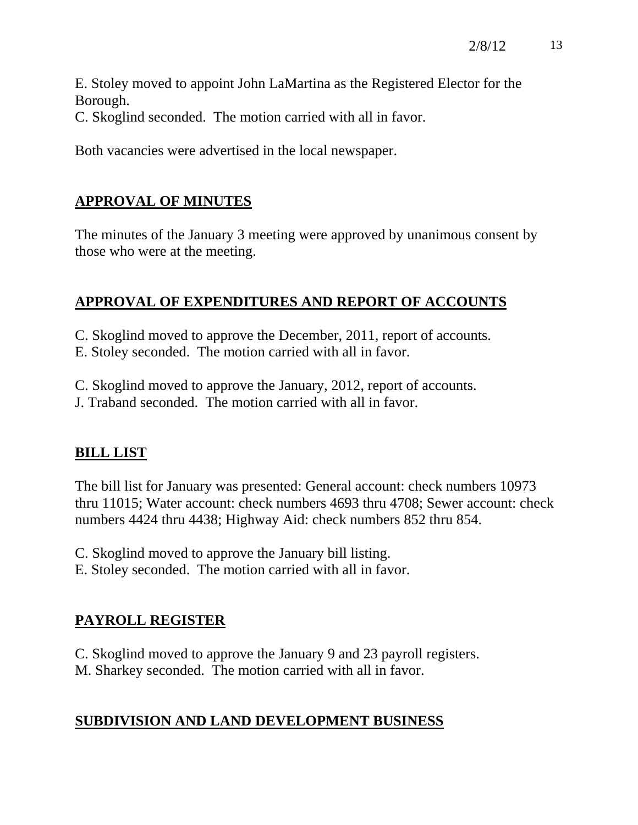E. Stoley moved to appoint John LaMartina as the Registered Elector for the Borough.

C. Skoglind seconded. The motion carried with all in favor.

Both vacancies were advertised in the local newspaper.

# **APPROVAL OF MINUTES**

The minutes of the January 3 meeting were approved by unanimous consent by those who were at the meeting.

# **APPROVAL OF EXPENDITURES AND REPORT OF ACCOUNTS**

- C. Skoglind moved to approve the December, 2011, report of accounts.
- E. Stoley seconded. The motion carried with all in favor.
- C. Skoglind moved to approve the January, 2012, report of accounts.
- J. Traband seconded. The motion carried with all in favor.

## **BILL LIST**

The bill list for January was presented: General account: check numbers 10973 thru 11015; Water account: check numbers 4693 thru 4708; Sewer account: check numbers 4424 thru 4438; Highway Aid: check numbers 852 thru 854.

- C. Skoglind moved to approve the January bill listing.
- E. Stoley seconded. The motion carried with all in favor.

# **PAYROLL REGISTER**

C. Skoglind moved to approve the January 9 and 23 payroll registers. M. Sharkey seconded. The motion carried with all in favor.

## **SUBDIVISION AND LAND DEVELOPMENT BUSINESS**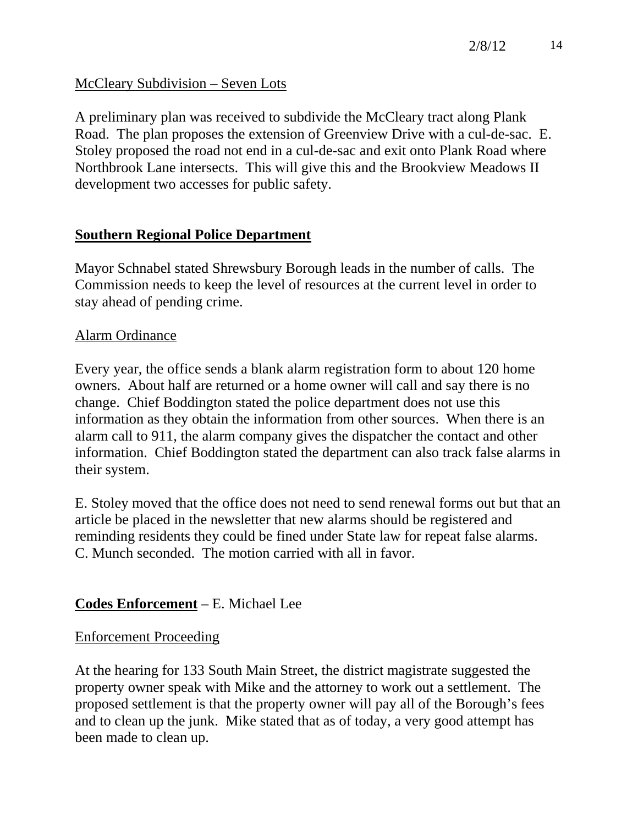## McCleary Subdivision – Seven Lots

A preliminary plan was received to subdivide the McCleary tract along Plank Road. The plan proposes the extension of Greenview Drive with a cul-de-sac. E. Stoley proposed the road not end in a cul-de-sac and exit onto Plank Road where Northbrook Lane intersects. This will give this and the Brookview Meadows II development two accesses for public safety.

## **Southern Regional Police Department**

Mayor Schnabel stated Shrewsbury Borough leads in the number of calls. The Commission needs to keep the level of resources at the current level in order to stay ahead of pending crime.

#### Alarm Ordinance

Every year, the office sends a blank alarm registration form to about 120 home owners. About half are returned or a home owner will call and say there is no change. Chief Boddington stated the police department does not use this information as they obtain the information from other sources. When there is an alarm call to 911, the alarm company gives the dispatcher the contact and other information. Chief Boddington stated the department can also track false alarms in their system.

E. Stoley moved that the office does not need to send renewal forms out but that an article be placed in the newsletter that new alarms should be registered and reminding residents they could be fined under State law for repeat false alarms. C. Munch seconded. The motion carried with all in favor.

## **Codes Enforcement** – E. Michael Lee

#### Enforcement Proceeding

At the hearing for 133 South Main Street, the district magistrate suggested the property owner speak with Mike and the attorney to work out a settlement. The proposed settlement is that the property owner will pay all of the Borough's fees and to clean up the junk. Mike stated that as of today, a very good attempt has been made to clean up.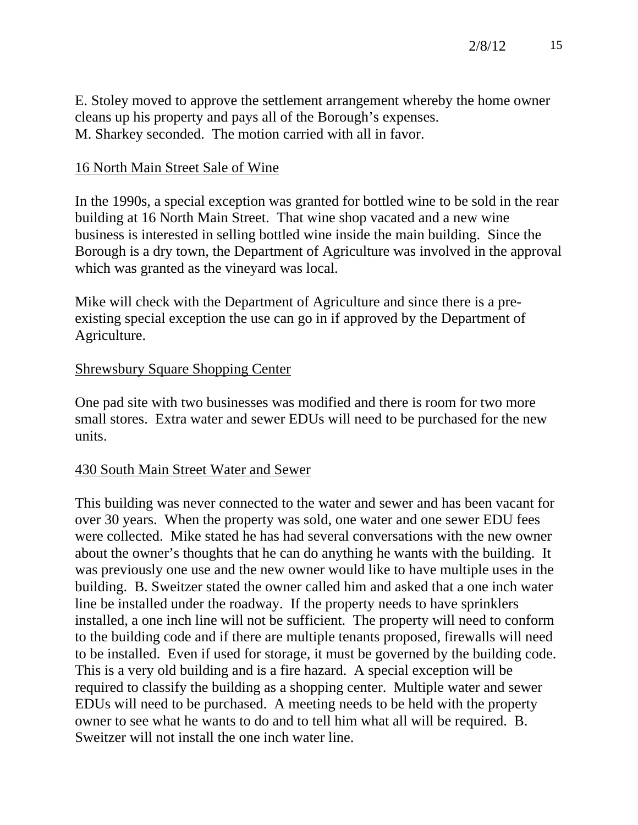E. Stoley moved to approve the settlement arrangement whereby the home owner cleans up his property and pays all of the Borough's expenses. M. Sharkey seconded. The motion carried with all in favor.

## 16 North Main Street Sale of Wine

In the 1990s, a special exception was granted for bottled wine to be sold in the rear building at 16 North Main Street. That wine shop vacated and a new wine business is interested in selling bottled wine inside the main building. Since the Borough is a dry town, the Department of Agriculture was involved in the approval which was granted as the vineyard was local.

Mike will check with the Department of Agriculture and since there is a preexisting special exception the use can go in if approved by the Department of Agriculture.

## Shrewsbury Square Shopping Center

One pad site with two businesses was modified and there is room for two more small stores. Extra water and sewer EDUs will need to be purchased for the new units.

#### 430 South Main Street Water and Sewer

This building was never connected to the water and sewer and has been vacant for over 30 years. When the property was sold, one water and one sewer EDU fees were collected. Mike stated he has had several conversations with the new owner about the owner's thoughts that he can do anything he wants with the building. It was previously one use and the new owner would like to have multiple uses in the building. B. Sweitzer stated the owner called him and asked that a one inch water line be installed under the roadway. If the property needs to have sprinklers installed, a one inch line will not be sufficient. The property will need to conform to the building code and if there are multiple tenants proposed, firewalls will need to be installed. Even if used for storage, it must be governed by the building code. This is a very old building and is a fire hazard. A special exception will be required to classify the building as a shopping center. Multiple water and sewer EDUs will need to be purchased. A meeting needs to be held with the property owner to see what he wants to do and to tell him what all will be required. B. Sweitzer will not install the one inch water line.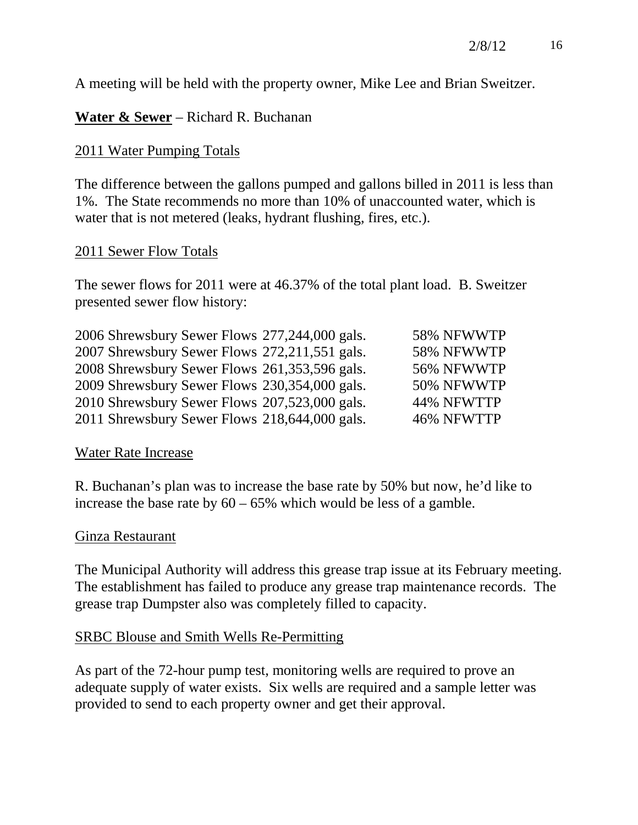A meeting will be held with the property owner, Mike Lee and Brian Sweitzer.

#### **Water & Sewer** – Richard R. Buchanan

#### 2011 Water Pumping Totals

The difference between the gallons pumped and gallons billed in 2011 is less than 1%. The State recommends no more than 10% of unaccounted water, which is water that is not metered (leaks, hydrant flushing, fires, etc.).

#### 2011 Sewer Flow Totals

The sewer flows for 2011 were at 46.37% of the total plant load. B. Sweitzer presented sewer flow history:

| 2006 Shrewsbury Sewer Flows 277,244,000 gals. | 58% NFWWTP |
|-----------------------------------------------|------------|
| 2007 Shrewsbury Sewer Flows 272,211,551 gals. | 58% NFWWTP |
| 2008 Shrewsbury Sewer Flows 261,353,596 gals. | 56% NFWWTP |
| 2009 Shrewsbury Sewer Flows 230,354,000 gals. | 50% NFWWTP |
| 2010 Shrewsbury Sewer Flows 207,523,000 gals. | 44% NFWTTP |
| 2011 Shrewsbury Sewer Flows 218,644,000 gals. | 46% NFWTTP |

#### Water Rate Increase

R. Buchanan's plan was to increase the base rate by 50% but now, he'd like to increase the base rate by  $60 - 65\%$  which would be less of a gamble.

#### Ginza Restaurant

The Municipal Authority will address this grease trap issue at its February meeting. The establishment has failed to produce any grease trap maintenance records. The grease trap Dumpster also was completely filled to capacity.

#### SRBC Blouse and Smith Wells Re-Permitting

As part of the 72-hour pump test, monitoring wells are required to prove an adequate supply of water exists. Six wells are required and a sample letter was provided to send to each property owner and get their approval.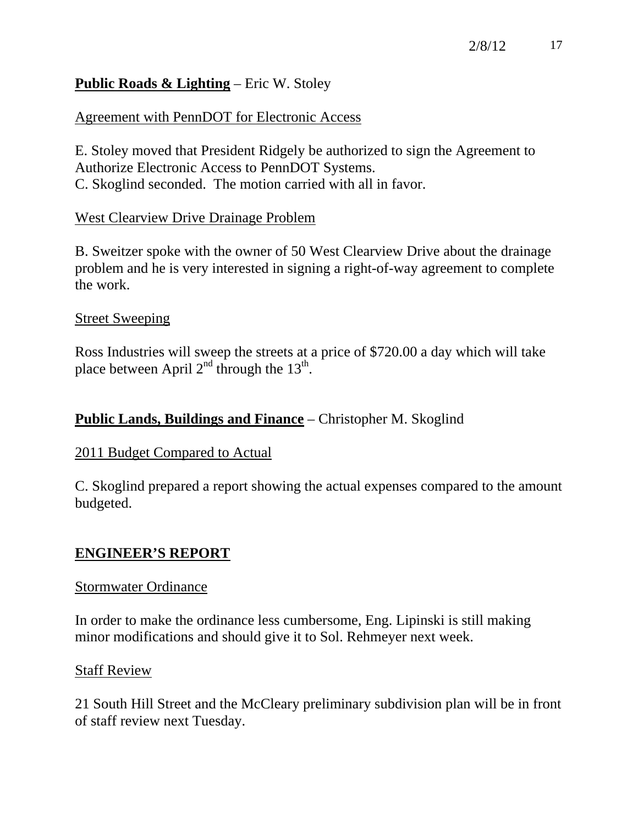## **Public Roads & Lighting** – Eric W. Stoley

#### Agreement with PennDOT for Electronic Access

E. Stoley moved that President Ridgely be authorized to sign the Agreement to Authorize Electronic Access to PennDOT Systems. C. Skoglind seconded. The motion carried with all in favor.

#### West Clearview Drive Drainage Problem

B. Sweitzer spoke with the owner of 50 West Clearview Drive about the drainage problem and he is very interested in signing a right-of-way agreement to complete the work.

#### **Street Sweeping**

Ross Industries will sweep the streets at a price of \$720.00 a day which will take place between April  $2<sup>nd</sup>$  through the 13<sup>th</sup>.

#### **Public Lands, Buildings and Finance** – Christopher M. Skoglind

#### 2011 Budget Compared to Actual

C. Skoglind prepared a report showing the actual expenses compared to the amount budgeted.

#### **ENGINEER'S REPORT**

#### Stormwater Ordinance

In order to make the ordinance less cumbersome, Eng. Lipinski is still making minor modifications and should give it to Sol. Rehmeyer next week.

#### Staff Review

21 South Hill Street and the McCleary preliminary subdivision plan will be in front of staff review next Tuesday.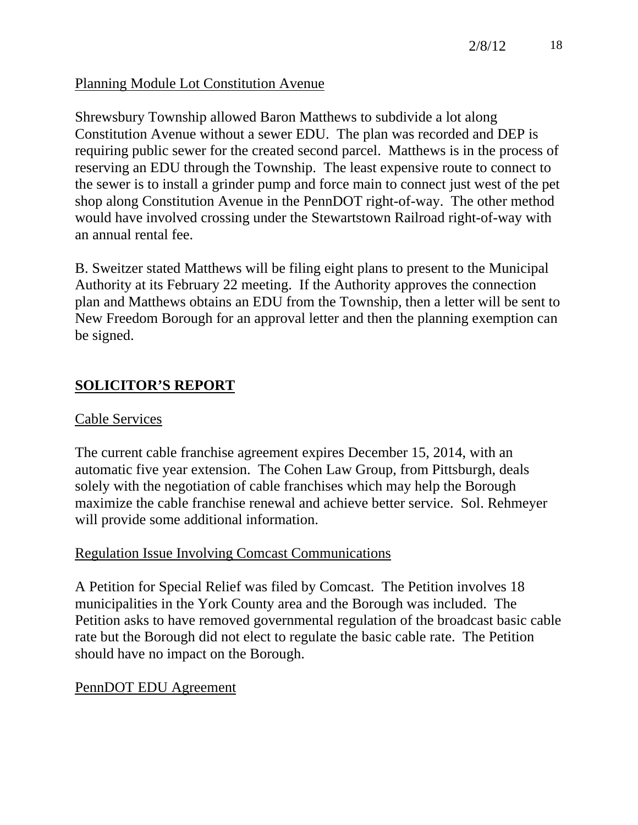#### Planning Module Lot Constitution Avenue

Shrewsbury Township allowed Baron Matthews to subdivide a lot along Constitution Avenue without a sewer EDU. The plan was recorded and DEP is requiring public sewer for the created second parcel. Matthews is in the process of reserving an EDU through the Township. The least expensive route to connect to the sewer is to install a grinder pump and force main to connect just west of the pet shop along Constitution Avenue in the PennDOT right-of-way. The other method would have involved crossing under the Stewartstown Railroad right-of-way with an annual rental fee.

B. Sweitzer stated Matthews will be filing eight plans to present to the Municipal Authority at its February 22 meeting. If the Authority approves the connection plan and Matthews obtains an EDU from the Township, then a letter will be sent to New Freedom Borough for an approval letter and then the planning exemption can be signed.

## **SOLICITOR'S REPORT**

#### Cable Services

The current cable franchise agreement expires December 15, 2014, with an automatic five year extension. The Cohen Law Group, from Pittsburgh, deals solely with the negotiation of cable franchises which may help the Borough maximize the cable franchise renewal and achieve better service. Sol. Rehmeyer will provide some additional information.

#### Regulation Issue Involving Comcast Communications

A Petition for Special Relief was filed by Comcast. The Petition involves 18 municipalities in the York County area and the Borough was included. The Petition asks to have removed governmental regulation of the broadcast basic cable rate but the Borough did not elect to regulate the basic cable rate. The Petition should have no impact on the Borough.

#### PennDOT EDU Agreement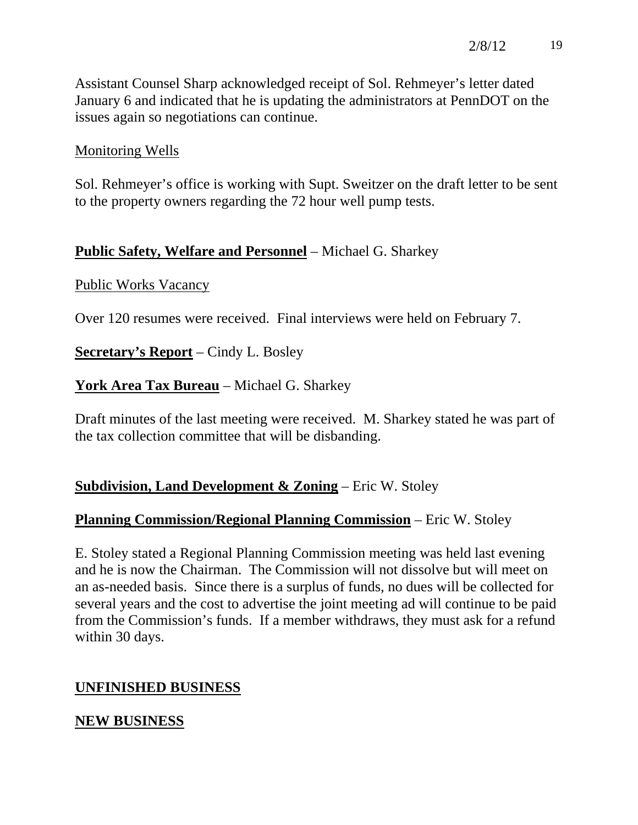Assistant Counsel Sharp acknowledged receipt of Sol. Rehmeyer's letter dated January 6 and indicated that he is updating the administrators at PennDOT on the issues again so negotiations can continue.

## Monitoring Wells

Sol. Rehmeyer's office is working with Supt. Sweitzer on the draft letter to be sent to the property owners regarding the 72 hour well pump tests.

# **Public Safety, Welfare and Personnel** – Michael G. Sharkey

## Public Works Vacancy

Over 120 resumes were received. Final interviews were held on February 7.

**Secretary's Report** – Cindy L. Bosley

# **York Area Tax Bureau** – Michael G. Sharkey

Draft minutes of the last meeting were received. M. Sharkey stated he was part of the tax collection committee that will be disbanding.

## **Subdivision, Land Development & Zoning** – Eric W. Stoley

## **Planning Commission/Regional Planning Commission** – Eric W. Stoley

E. Stoley stated a Regional Planning Commission meeting was held last evening and he is now the Chairman. The Commission will not dissolve but will meet on an as-needed basis. Since there is a surplus of funds, no dues will be collected for several years and the cost to advertise the joint meeting ad will continue to be paid from the Commission's funds. If a member withdraws, they must ask for a refund within 30 days.

## **UNFINISHED BUSINESS**

## **NEW BUSINESS**